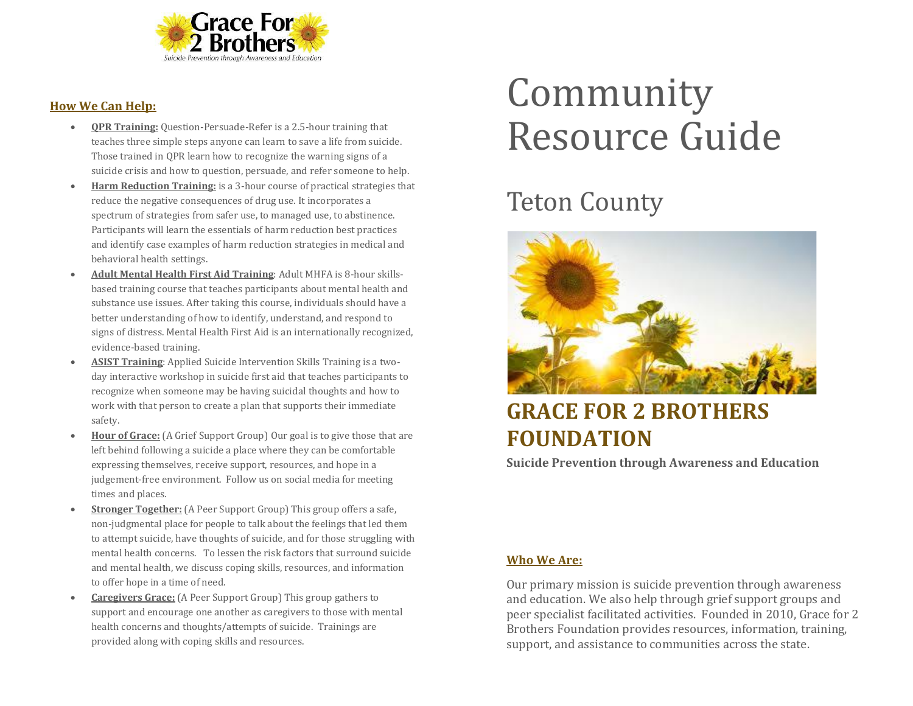

#### **How We Can Help:**

- **QPR Training:** Question-Persuade-Refer is a 2.5-hour training that teaches three simple steps anyone can learn to save a life from suicide. Those trained in QPR learn how to recognize the warning signs of a suicide crisis and how to question, persuade, and refer someone to help.
- **Harm Reduction Training:** is a 3-hour course of practical strategies that reduce the negative consequences of drug use. It incorporates a spectrum of strategies from safer use, to managed use, to abstinence. Participants will learn the essentials of harm reduction best practices and identify case examples of harm reduction strategies in medical and behavioral health settings.
- **Adult Mental Health First Aid Training**: Adult MHFA is 8-hour skillsbased training course that teaches participants about mental health and substance use issues. After taking this course, individuals should have a better understanding of how to identify, understand, and respond to signs of distress. Mental Health First Aid is an internationally recognized, evidence-based training.
- **ASIST Training**: Applied Suicide Intervention Skills Training is a twoday interactive workshop in suicide first aid that teaches participants to recognize when someone may be having suicidal thoughts and how to work with that person to create a plan that supports their immediate safety.
- **Hour of Grace:** (A Grief Support Group) Our goal is to give those that are left behind following a suicide a place where they can be comfortable expressing themselves, receive support, resources, and hope in a judgement-free environment. Follow us on social media for meeting times and places.
- **Stronger Together:** (A Peer Support Group) This group offers a safe, non-judgmental place for people to talk about the feelings that led them to attempt suicide, have thoughts of suicide, and for those struggling with mental health concerns. To lessen the risk factors that surround suicide and mental health, we discuss coping skills, resources, and information to offer hope in a time of need.
- **Caregivers Grace:** (A Peer Support Group) This group gathers to support and encourage one another as caregivers to those with mental health concerns and thoughts/attempts of suicide. Trainings are provided along with coping skills and resources.

# Community Resource Guide

## Teton County



### **GRACE FOR 2 BROTHERS FOUNDATION**

**Suicide Prevention through Awareness and Education**

#### **Who We Are:**

Our primary mission is suicide prevention through awareness and education. We also help through grief support groups and peer specialist facilitated activities. Founded in 2010, Grace for 2 Brothers Foundation provides resources, information, training, support, and assistance to communities across the state.